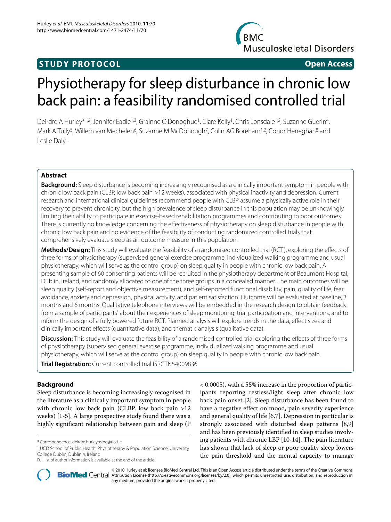# **STUDY PROTOCOL Open Access**

**BMC Musculoskeletal Disorders** 

# Physiotherapy for sleep disturbance in chronic low back pain: a feasibility randomised controlled trial

Deirdre A Hurley\*1,2, Jennifer Eadie<sup>1,3</sup>, Grainne O'Donoghue<sup>1</sup>, Clare Kelly<sup>1</sup>, Chris Lonsdale<sup>1,2</sup>, Suzanne Guerin<sup>4</sup>, Mark A Tully<sup>5</sup>, Willem van Mechelen<sup>6</sup>, Suzanne M McDonough<sup>7</sup>, Colin AG Boreham<sup>1,2</sup>, Conor Heneghan<sup>8</sup> and Leslie Daly1

# **Abstract**

**Background:** Sleep disturbance is becoming increasingly recognised as a clinically important symptom in people with chronic low back pain (CLBP, low back pain >12 weeks), associated with physical inactivity and depression. Current research and international clinical guidelines recommend people with CLBP assume a physically active role in their recovery to prevent chronicity, but the high prevalence of sleep disturbance in this population may be unknowingly limiting their ability to participate in exercise-based rehabilitation programmes and contributing to poor outcomes. There is currently no knowledge concerning the effectiveness of physiotherapy on sleep disturbance in people with chronic low back pain and no evidence of the feasibility of conducting randomized controlled trials that comprehensively evaluate sleep as an outcome measure in this population.

**Methods/Design:** This study will evaluate the feasibility of a randomised controlled trial (RCT), exploring the effects of three forms of physiotherapy (supervised general exercise programme, individualized walking programme and usual physiotherapy, which will serve as the control group) on sleep quality in people with chronic low back pain. A presenting sample of 60 consenting patients will be recruited in the physiotherapy department of Beaumont Hospital, Dublin, Ireland, and randomly allocated to one of the three groups in a concealed manner. The main outcomes will be sleep quality (self-report and objective measurement), and self-reported functional disability, pain, quality of life, fear avoidance, anxiety and depression, physical activity, and patient satisfaction. Outcome will be evaluated at baseline, 3 months and 6 months. Qualitative telephone interviews will be embedded in the research design to obtain feedback from a sample of participants' about their experiences of sleep monitoring, trial participation and interventions, and to inform the design of a fully powered future RCT. Planned analysis will explore trends in the data, effect sizes and clinically important effects (quantitative data), and thematic analysis (qualitative data).

**Discussion:** This study will evaluate the feasibility of a randomised controlled trial exploring the effects of three forms of physiotherapy (supervised general exercise programme, individualized walking programme and usual physiotherapy, which will serve as the control group) on sleep quality in people with chronic low back pain.

**Trial Registration:** Current controlled trial ISRCTN54009836

# **Background**

Sleep disturbance is becoming increasingly recognised in the literature as a clinically important symptom in people with chronic low back pain (CLBP, low back pain >12 weeks) [\[1](#page-8-0)-[5\]](#page-8-1). A large prospective study found there was a highly significant relationship between pain and sleep (P

< 0.0005), with a 55% increase in the proportion of participants reporting restless/light sleep after chronic low back pain onset [\[2](#page-8-2)]. Sleep disturbance has been found to have a negative effect on mood, pain severity experience and general quality of life [[6,](#page-8-3)[7\]](#page-8-4). Depression in particular is strongly associated with disturbed sleep patterns [\[8](#page-8-5)[,9](#page-8-6)] and has been previously identified in sleep studies involving patients with chronic LBP [\[10](#page-8-7)-[14](#page-8-8)]. The pain literature has shown that lack of sleep or poor quality sleep lowers the pain threshold and the mental capacity to manage



2010 Hurley et al; licensee [BioMed](http://www.biomedcentral.com/) Central Ltd. This is an Open Access article distributed under the terms of the Creative Commons (http://creativecommons.org/licenses/by/2.0), which permits unrestricted use, distribution, any medium, provided the original work is properly cited.

<sup>\*</sup> Correspondence: deirdre.hurleyosing@ucd.ie

<sup>1</sup> UCD School of Public Health, Physiotherapy & Population Science, University College Dublin, Dublin 4, Ireland

Full list of author information is available at the end of the article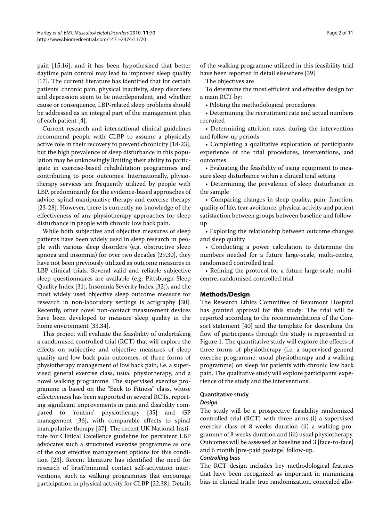pain [\[15](#page-8-9)[,16](#page-8-10)], and it has been hypothesized that better daytime pain control may lead to improved sleep quality [[17\]](#page-8-11). The current literature has identified that for certain patients' chronic pain, physical inactivity, sleep disorders and depression seem to be interdependent, and whether cause or consequence, LBP-related sleep problems should be addressed as an integral part of the management plan of each patient [\[4](#page-8-12)].

Current research and international clinical guidelines recommend people with CLBP to assume a physically active role in their recovery to prevent chronicity [[18-](#page-8-13)[23](#page-8-14)], but the high prevalence of sleep disturbance in this population may be unknowingly limiting their ability to participate in exercise-based rehabilitation programmes and contributing to poor outcomes. Internationally, physiotherapy services are frequently utilized by people with LBP, predominantly for the evidence-based approaches of advice, spinal manipulative therapy and exercise therapy [[23-](#page-8-14)[28](#page-9-0)]. However, there is currently no knowledge of the effectiveness of any physiotherapy approaches for sleep disturbance in people with chronic low back pain.

While both subjective and objective measures of sleep patterns have been widely used in sleep research in people with various sleep disorders (e.g. obstructive sleep apnoea and insomnia) for over two decades [[29,](#page-9-1)[30\]](#page-9-2), they have not been previously utilized as outcome measures in LBP clinical trials. Several valid and reliable subjective sleep questionnaires are available (e.g. Pittsburgh Sleep Quality Index [[31\]](#page-9-3), Insomnia Severity Index [[32](#page-9-4)]), and the most widely used objective sleep outcome measure for research in non-laboratory settings is actigraphy [\[30](#page-9-2)]. Recently, other novel non-contact measurement devices have been developed to measure sleep quality in the home environment [\[33](#page-9-5)[,34](#page-9-6)].

This project will evaluate the feasibility of undertaking a randomised controlled trial (RCT) that will explore the effects on subjective and objective measures of sleep quality and low back pain outcomes, of three forms of physiotherapy management of low back pain, i.e. a supervised general exercise class, usual physiotherapy, and a novel walking programme. The supervised exercise programme is based on the "Back to Fitness" class, whose effectiveness has been supported in several RCTs, reporting significant improvements in pain and disability compared to 'routine' physiotherapy [[35\]](#page-9-7) and GP management [\[36\]](#page-9-8), with comparable effects to spinal manipulative therapy [\[37\]](#page-9-9). The recent UK National Institute for Clinical Excellence guideline for persistent LBP advocates such a structured exercise programme as one of the cost effective management options for this condition [[23\]](#page-8-14). Recent literature has identified the need for research of brief/minimal contact self-activation interventions, such as walking programmes that encourage participation in physical activity for CLBP [\[22](#page-8-15)[,38](#page-9-10)]. Details

of the walking programme utilized in this feasibility trial have been reported in detail elsewhere [\[39\]](#page-9-11).

The objectives are

To determine the most efficient and effective design for a main RCT by:

• Piloting the methodological procedures

• Determining the recruitment rate and actual numbers recruited

• Determining attrition rates during the intervention and follow-up periods

• Completing a qualitative exploration of participants experience of the trial procedures, interventions, and outcomes

• Evaluating the feasibility of using equipment to measure sleep disturbance within a clinical trial setting

• Determining the prevalence of sleep disturbance in the sample

• Comparing changes in sleep quality, pain, function, quality of life, fear avoidance, physical activity and patient satisfaction between groups between baseline and followup

• Exploring the relationship between outcome changes and sleep quality

• Conducting a power calculation to determine the numbers needed for a future large-scale, multi-centre, randomised controlled trial

• Refining the protocol for a future large-scale, multicentre, randomised controlled trial

#### **Methods/Design**

The Research Ethics Committee of Beaumont Hospital has granted approval for this study: The trial will be reported according to the recommendations of the Consort statement [[40\]](#page-9-12) and the template for describing the flow of participants through the study is represented in Figure [1.](#page-2-0) The quantitative study will explore the effects of three forms of physiotherapy (i.e. a supervised general exercise programme, usual physiotherapy and a walking programme) on sleep for patients with chronic low back pain. The qualitative study will explore participants' experience of the study and the interventions.

#### **Quantitative study**

#### **Design**

The study will be a prospective feasibility randomized controlled trial (RCT) with three arms (i) a supervised exercise class of 8 weeks duration (ii) a walking programme of 8 weeks duration and (iii) usual physiotherapy. Outcomes will be assessed at baseline and 3 [face-to-face] and 6 month [pre-paid postage] follow-up.

#### **Controlling bias**

The RCT design includes key methodological features that have been recognized as important in minimizing bias in clinical trials: true randomization, concealed allo-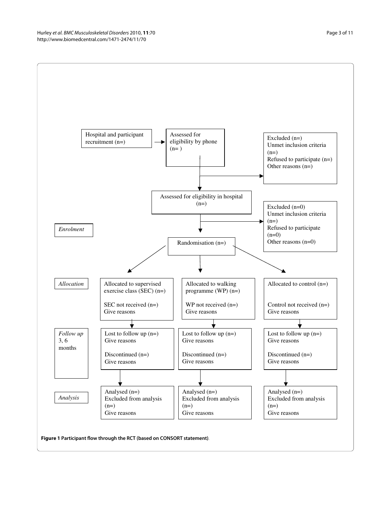<span id="page-2-0"></span>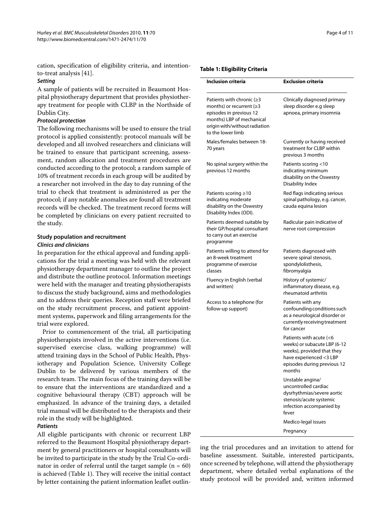cation, specification of eligibility criteria, and intentionto-treat analysis [\[41](#page-9-13)].

#### **Setting**

A sample of patients will be recruited in Beaumont Hospital physiotherapy department that provides physiotherapy treatment for people with CLBP in the Northside of Dublin City.

#### **Protocol protection**

The following mechanisms will be used to ensure the trial protocol is applied consistently: protocol manuals will be developed and all involved researchers and clinicians will be trained to ensure that participant screening, assessment, random allocation and treatment procedures are conducted according to the protocol; a random sample of 10% of treatment records in each group will be audited by a researcher not involved in the day to day running of the trial to check that treatment is administered as per the protocol; if any notable anomalies are found all treatment records will be checked. The treatment record forms will be completed by clinicians on every patient recruited to the study.

#### **Study population and recruitment Clinics and clinicians**

In preparation for the ethical approval and funding applications for the trial a meeting was held with the relevant physiotherapy department manager to outline the project and distribute the outline protocol. Information meetings were held with the manager and treating physiotherapists to discuss the study background, aims and methodologies and to address their queries. Reception staff were briefed on the study recruitment process, and patient appointment systems, paperwork and filing arrangements for the trial were explored.

Prior to commencement of the trial, all participating physiotherapists involved in the active interventions (i.e. supervised exercise class, walking programme) will attend training days in the School of Public Health, Physiotherapy and Population Science, University College Dublin to be delivered by various members of the research team. The main focus of the training days will be to ensure that the interventions are standardized and a cognitive behavioural therapy (CBT) approach will be emphasized. In advance of the training days, a detailed trial manual will be distributed to the therapists and their role in the study will be highlighted.

#### **Patients**

All eligible participants with chronic or recurrent LBP referred to the Beaumont Hospital physiotherapy department by general practitioners or hospital consultants will be invited to participate in the study by the Trial Co-ordinator in order of referral until the target sample  $(n = 60)$ is achieved (Table 1). They will receive the initial contact by letter containing the patient information leaflet outlin-

#### **Table 1: Eligibility Criteria**

| <b>Inclusion criteria</b>                                                                                                                                                         | <b>Exclusion criteria</b>                                                                                                                                 |
|-----------------------------------------------------------------------------------------------------------------------------------------------------------------------------------|-----------------------------------------------------------------------------------------------------------------------------------------------------------|
| Patients with chronic $(\geq 3)$<br>months) or recurrent ( $\geq$ 3<br>episodes in previous 12<br>months) LBP of mechanical<br>origin with/without radiation<br>to the lower limb | Clinically diagnosed primary<br>sleep disorder e.g sleep<br>apnoea, primary insomnia                                                                      |
| Males/females between 18-<br>70 years                                                                                                                                             | Currently or having received<br>treatment for CLBP within<br>previous 3 months                                                                            |
| No spinal surgery within the<br>previous 12 months                                                                                                                                | Patients scoring <10<br>indicating minimum<br>disability on the Oswestry<br>Disability Index                                                              |
| Patients scoring $\geq 10$<br>indicating moderate<br>disability on the Oswestry<br>Disability Index (ODI).                                                                        | Red flags indicating serious<br>spinal pathology, e.g. cancer,<br>cauda equina lesion                                                                     |
| Patients deemed suitable by<br>their GP/hospital consultant<br>to carry out an exercise<br>programme                                                                              | Radicular pain indicative of<br>nerve root compression                                                                                                    |
| Patients willing to attend for<br>an 8-week treatment<br>programme of exercise<br>classes                                                                                         | Patients diagnosed with<br>severe spinal stenosis,<br>spondylolisthesis,<br>fibromyalgia                                                                  |
| Fluency in English (verbal<br>and written)                                                                                                                                        | History of systemic/<br>inflammatory disease, e.g.<br>rheumatoid arthritis                                                                                |
| Access to a telephone (for<br>follow-up support)                                                                                                                                  | Patients with any<br>confounding conditions such<br>as a neurological disorder or<br>currently receiving treatment<br>for cancer                          |
|                                                                                                                                                                                   | Patients with acute (<6<br>weeks) or subacute LBP (6-12<br>weeks), provided that they<br>have experienced <3 LBP<br>episodes during previous 12<br>months |
|                                                                                                                                                                                   | Unstable angina/<br>uncontrolled cardiac<br>dysrhythmias/severe aortic<br>stenosis/acute systemic<br>infection accompanied by<br>fever                    |
|                                                                                                                                                                                   | Medico-legal issues                                                                                                                                       |
|                                                                                                                                                                                   | Pregnancy                                                                                                                                                 |

ing the trial procedures and an invitation to attend for baseline assessment. Suitable, interested participants, once screened by telephone, will attend the physiotherapy department, where detailed verbal explanations of the study protocol will be provided and, written informed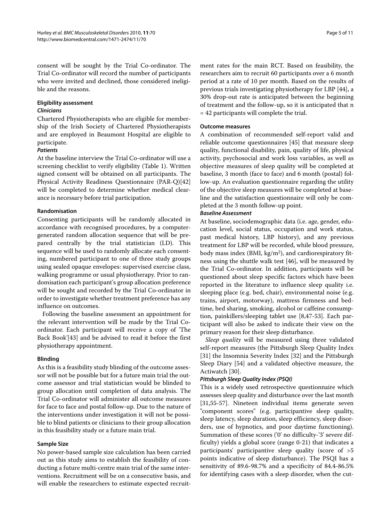consent will be sought by the Trial Co-ordinator. The Trial Co-ordinator will record the number of participants who were invited and declined, those considered ineligible and the reasons.

# **Eligibility assessment**

# **Clinicians**

Chartered Physiotherapists who are eligible for membership of the Irish Society of Chartered Physiotherapists and are employed in Beaumont Hospital are eligible to participate.

# **Patients**

At the baseline interview the Trial Co-ordinator will use a screening checklist to verify eligibility (Table 1). Written signed consent will be obtained on all participants. The Physical Activity Readiness Questionnaire (PAR-Q)[[42](#page-9-14)] will be completed to determine whether medical clearance is necessary before trial participation.

# **Randomisation**

Consenting participants will be randomly allocated in accordance with recognised procedures, by a computergenerated random allocation sequence that will be prepared centrally by the trial statistician (LD). This sequence will be used to randomly allocate each consenting, numbered participant to one of three study groups using sealed opaque envelopes: supervised exercise class, walking programme or usual physiotherapy. Prior to randomisation each participant's group allocation preference will be sought and recorded by the Trial Co-ordinator in order to investigate whether treatment preference has any influence on outcomes.

Following the baseline assessment an appointment for the relevant intervention will be made by the Trial Coordinator. Each participant will receive a copy of 'The Back Book'[[43\]](#page-9-15) and be advised to read it before the first physiotherapy appointment.

# **Blinding**

As this is a feasibility study blinding of the outcome assessor will not be possible but for a future main trial the outcome assessor and trial statistician would be blinded to group allocation until completion of data analysis. The Trial Co-ordinator will administer all outcome measures for face to face and postal follow-up. Due to the nature of the interventions under investigation it will not be possible to blind patients or clinicians to their group allocation in this feasibility study or a future main trial.

# **Sample Size**

No power-based sample size calculation has been carried out as this study aims to establish the feasibility of conducting a future multi-centre main trial of the same interventions. Recruitment will be on a consecutive basis, and will enable the researchers to estimate expected recruit-

ment rates for the main RCT. Based on feasibility, the researchers aim to recruit 60 participants over a 6 month period at a rate of 10 per month. Based on the results of previous trials investigating physiotherapy for LBP [\[44](#page-9-16)], a 30% drop-out rate is anticipated between the beginning of treatment and the follow-up, so it is anticipated that n = 42 participants will complete the trial.

# **Outcome measures**

A combination of recommended self-report valid and reliable outcome questionnaires [[45\]](#page-9-17) that measure sleep quality, functional disability, pain, quality of life, physical activity, psychosocial and work loss variables, as well as objective measures of sleep quality will be completed at baseline, 3 month (face to face) and 6 month (postal) follow-up. An evaluation questionnaire regarding the utility of the objective sleep measures will be completed at baseline and the satisfaction questionnaire will only be completed at the 3 month follow-up point.

# **Baseline Assessment**

At baseline, sociodemographic data (i.e. age, gender, education level, social status, occupation and work status, past medical history, LBP history), and any previous treatment for LBP will be recorded, while blood pressure, body mass index (BMI, kg/m2), and cardiorespiratory fitness using the shuttle walk test [\[46](#page-9-18)], will be measured by the Trial Co-ordinator. In addition, participants will be questioned about sleep specific factors which have been reported in the literature to influence sleep quality i.e. sleeping place (e.g. bed, chair), environmental noise (e.g. trains, airport, motorway), mattress firmness and bedtime, bed sharing, smoking, alcohol or caffeine consumption, painkillers/sleeping tablet use [\[8](#page-8-5)[,47](#page-9-19)-[53\]](#page-9-20). Each participant will also be asked to indicate their view on the primary reason for their sleep disturbance.

*Sleep quality* will be measured using three validated self-report measures (the Pittsburgh Sleep Quality Index [[31\]](#page-9-3) the Insomnia Severity Index [\[32](#page-9-4)] and the Pittsburgh Sleep Diary [\[54\]](#page-9-21) and a validated objective measure, the Actiwatch [[30\]](#page-9-2).

# **Pittsburgh Sleep Quality Index (PSQI)**

This is a widely used retrospective questionnaire which assesses sleep quality and disturbance over the last month [[31,](#page-9-3)[55](#page-9-22)[-57](#page-9-23)]. Nineteen individual items generate seven "component scores" (e.g. participantive sleep quality, sleep latency, sleep duration, sleep efficiency, sleep disorders, use of hypnotics, and poor daytime functioning). Summation of these scores ('0' no difficulty-'3' severe difficulty) yields a global score (range 0-21) that indicates a participants' participantive sleep quality (score of >5 points indicative of sleep disturbance). The PSQI has a sensitivity of 89.6-98.7% and a specificity of 84.4-86.5% for identifying cases with a sleep disorder, when the cut-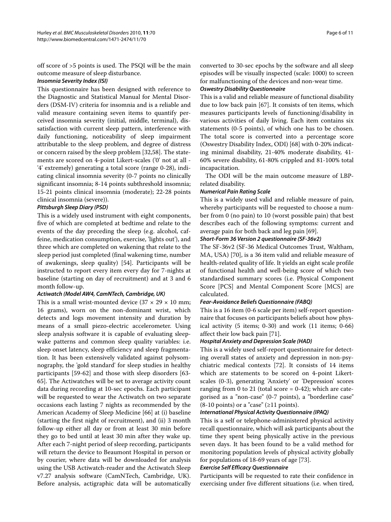off score of >5 points is used. The PSQI will be the main outcome measure of sleep disturbance.

#### **Insomnia Severity Index (ISI)**

This questionnaire has been designed with reference to the Diagnostic and Statistical Manual for Mental Disorders (DSM-IV) criteria for insomnia and is a reliable and valid measure containing seven items to quantify perceived insomnia severity (initial, middle, terminal), dissatisfaction with current sleep pattern, interference with daily functioning, noticeability of sleep impairment attributable to the sleep problem, and degree of distress or concern raised by the sleep problem [[32,](#page-9-4)[58\]](#page-9-24). The statements are scored on 4-point Likert-scales ('0' not at all - '4' extremely) generating a total score (range 0-28), indicating clinical insomnia severity (0-7 points no clinically significant insomnia; 8-14 points subthreshold insomnia; 15-21 points clinical insomnia (moderate); 22-28 points clinical insomnia (severe)).

#### **Pittsburgh Sleep Diary (PSD)**

This is a widely used instrument with eight components, five of which are completed at bedtime and relate to the events of the day preceding the sleep (e.g. alcohol, caffeine, medication consumption, exercise, 'lights out'), and three which are completed on wakening that relate to the sleep period just completed (final wakening time, number of awakenings, sleep quality) [[54\]](#page-9-21). Participants will be instructed to report every item every day for 7-nights at baseline (starting on day of recruitment) and at 3 and 6 month follow-up.

#### **Actiwatch (Model AW4, CamNTech, Cambridge, UK)**

This is a small wrist-mounted device  $(37 \times 29 \times 10 \text{ mm})$ ; 16 grams), worn on the non-dominant wrist, which detects and logs movement intensity and duration by means of a small piezo-electric accelerometer. Using sleep analysis software it is capable of evaluating sleepwake patterns and common sleep quality variables: i.e. sleep onset latency, sleep efficiency and sleep fragmentation. It has been extensively validated against polysomnography, the 'gold standard' for sleep studies in healthy participants [\[59](#page-9-25)-[62\]](#page-9-26) and those with sleep disorders [\[63-](#page-9-27) [65](#page-9-28)]. The Actiwatches will be set to average activity count data during recording at 10-sec epochs. Each participant will be requested to wear the Actiwatch on two separate occasions each lasting 7 nights as recommended by the American Academy of Sleep Medicine [[66\]](#page-9-29) at (i) baseline (starting the first night of recruitment), and (ii) 3 month follow-up either all day or from at least 30 min before they go to bed until at least 30 min after they wake up. After each 7-night period of sleep recording, participants will return the device to Beaumont Hospital in person or by courier, where data will be downloaded for analysis using the USB Actiwatch-reader and the Actiwatch Sleep v7.27 analysis software (CamNTech, Cambridge, UK). Before analysis, actigraphic data will be automatically

converted to 30-sec epochs by the software and all sleep episodes will be visually inspected (scale: 1000) to screen for malfunctioning of the devices and non-wear time.

## **Oswestry Disability Questionnaire**

This is a valid and reliable measure of functional disability due to low back pain [[67\]](#page-9-30). It consists of ten items, which measures participants levels of functioning/disability in various activities of daily living. Each item contains six statements (0-5 points), of which one has to be chosen. The total score is converted into a percentage score (Oswestry Disability Index, ODI) [\[68](#page-9-31)] with 0-20% indicating minimal disability, 21-40% moderate disability, 41- 60% severe disability, 61-80% crippled and 81-100% total incapacitation.

The ODI will be the main outcome measure of LBPrelated disability.

#### **Numerical Pain Rating Scale**

This is a widely used valid and reliable measure of pain, whereby participants will be requested to choose a number from 0 (no pain) to 10 (worst possible pain) that best describes each of the following symptoms: current and average pain for both back and leg pain [\[69](#page-9-32)].

#### **Short-Form 36 Version 2 questionnaire (SF-36v2)**

The SF-36v2 (SF-36 Medical Outcomes Trust, Waltham, MA, USA) [\[70](#page-9-33)], is a 36 item valid and reliable measure of health-related quality of life. It yields an eight scale profile of functional health and well-being score of which two standardised summary scores (i.e. Physical Component Score [PCS] and Mental Component Score [MCS] are calculated.

#### **Fear-Avoidance Beliefs Questionnaire (FABQ)**

This is a 16 item (0-6 scale per item) self-report questionnaire that focuses on participants beliefs about how physical activity (5 items; 0-30) and work (11 items; 0-66) affect their low back pain [[71\]](#page-9-34).

#### **Hospital Anxiety and Depression Scale (HAD)**

This is a widely used self-report questionnaire for detecting overall states of anxiety and depression in non-psychiatric medical contexts [\[72\]](#page-10-0). It consists of 14 items which are statements to be scored on 4-point Likertscales (0-3), generating 'Anxiety' or 'Depression' scores ranging from 0 to 21 (total score =  $0-42$ ); which are categorised as a "non-case" (0-7 points), a "borderline case"  $(8-10 \text{ points})$  or a "case" (≥11 points).

#### **International Physical Activity Questionnaire (IPAQ)**

This is a self or telephone-administered physical activity recall questionnaire, which will ask participants about the time they spent being physically active in the previous seven days. It has been found to be a valid method for monitoring population levels of physical activity globally for populations of 18-69 years of age [\[73](#page-10-1)].

#### **Exercise Self Efficacy Questionnaire**

Participants will be requested to rate their confidence in exercising under five different situations (i.e. when tired,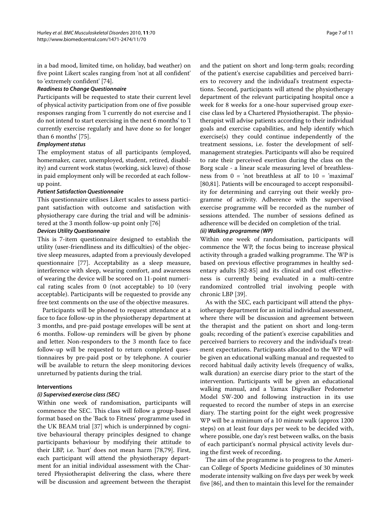in a bad mood, limited time, on holiday, bad weather) on five point Likert scales ranging from 'not at all confident' to 'extremely confident' [\[74](#page-10-2)].

#### **Readiness to Change Questionnaire**

Participants will be requested to state their current level of physical activity participation from one of five possible responses ranging from 'I currently do not exercise and I do not intend to start exercising in the next 6 months' to 'I currently exercise regularly and have done so for longer than 6 months' [[75\]](#page-10-3).

## **Employment status**

The employment status of all participants (employed, homemaker, carer, unemployed, student, retired, disability) and current work status (working, sick leave) of those in paid employment only will be recorded at each followup point.

#### **Patient Satisfaction Questionnaire**

This questionnaire utilises Likert scales to assess participant satisfaction with outcome and satisfaction with physiotherapy care during the trial and will be administered at the 3 month follow-up point only [\[76](#page-10-4)]

#### **Devices Utility Questionnaire**

This is 7-item questionnaire designed to establish the utility (user-friendliness and its difficulties) of the objective sleep measures, adapted from a previously developed questionnaire [[77\]](#page-10-5). Acceptability as a sleep measure, interference with sleep, wearing comfort, and awareness of wearing the device will be scored on 11-point numerical rating scales from 0 (not acceptable) to 10 (very acceptable). Participants will be requested to provide any free text comments on the use of the objective measures.

Participants will be phoned to request attendance at a face to face follow-up in the physiotherapy department at 3 months, and pre-paid postage envelopes will be sent at 6 months. Follow-up reminders will be given by phone and letter. Non-responders to the 3 month face to face follow-up will be requested to return completed questionnaires by pre-paid post or by telephone. A courier will be available to return the sleep monitoring devices unreturned by patients during the trial.

#### **Interventions**

## **(i) Supervised exercise class (SEC)**

Within one week of randomisation, participants will commence the SEC. This class will follow a group-based format based on the 'Back to Fitness' programme used in the UK BEAM trial [\[37\]](#page-9-9) which is underpinned by cognitive behavioural therapy principles designed to change participants behaviour by modifying their attitude to their LBP, i.e. 'hurt' does not mean harm [\[78](#page-10-6),[79](#page-10-7)]. First, each participant will attend the physiotherapy department for an initial individual assessment with the Chartered Physiotherapist delivering the class, where there will be discussion and agreement between the therapist

and the patient on short and long-term goals; recording of the patient's exercise capabilities and perceived barriers to recovery and the individual's treatment expectations. Second, participants will attend the physiotherapy department of the relevant participating hospital once a week for 8 weeks for a one-hour supervised group exercise class led by a Chartered Physiotherapist. The physiotherapist will advise patients according to their individual goals and exercise capabilities, and help identify which exercise(s) they could continue independently of the treatment sessions, i.e. foster the development of selfmanagement strategies. Participants will also be required to rate their perceived exertion during the class on the Borg scale - a linear scale measuring level of breathlessness from  $0 =$  'not breathless at all' to  $10 =$  'maximal' [[80,](#page-10-8)[81\]](#page-10-9). Patients will be encouraged to accept responsibility for determining and carrying out their weekly programme of activity. Adherence with the supervised exercise programme will be recorded as the number of sessions attended. The number of sessions defined as adherence will be decided on completion of the trial.

## **(ii) Walking programme (WP)**

Within one week of randomisation, participants will commence the WP, the focus being to increase physical activity through a graded walking programme. The WP is based on previous effective programmes in healthy sedentary adults [\[82](#page-10-10)-[85](#page-10-11)] and its clinical and cost effectiveness is currently being evaluated in a multi-centre randomized controlled trial involving people with chronic LBP [[39\]](#page-9-11).

As with the SEC, each participant will attend the physiotherapy department for an initial individual assessment, where there will be discussion and agreement between the therapist and the patient on short and long-term goals; recording of the patient's exercise capabilities and perceived barriers to recovery and the individual's treatment expectations. Participants allocated to the WP will be given an educational walking manual and requested to record habitual daily activity levels (frequency of walks, walk duration) an exercise diary prior to the start of the intervention. Participants will be given an educational walking manual, and a Yamax Digiwalker Pedometer Model SW-200 and following instruction in its use requested to record the number of steps in an exercise diary. The starting point for the eight week progressive WP will be a minimum of a 10 minute walk (approx 1200 steps) on at least four days per week to be decided with, where possible, one day's rest between walks, on the basis of each participant's normal physical activity levels during the first week of recording.

The aim of the programme is to progress to the American College of Sports Medicine guidelines of 30 minutes moderate intensity walking on five days per week by week five [[86](#page-10-12)], and then to maintain this level for the remainder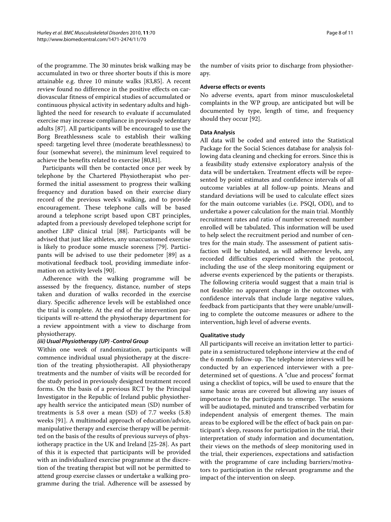of the programme. The 30 minutes brisk walking may be accumulated in two or three shorter bouts if this is more attainable e.g. three 10 minute walks [\[83](#page-10-13)[,85](#page-10-11)]. A recent review found no difference in the positive effects on cardiovascular fitness of empirical studies of accumulated or continuous physical activity in sedentary adults and highlighted the need for research to evaluate if accumulated exercise may increase compliance in previously sedentary adults [\[87\]](#page-10-14). All participants will be encouraged to use the Borg Breathlessness scale to establish their walking speed: targeting level three (moderate breathlessness) to four (somewhat severe), the minimum level required to achieve the benefits related to exercise [[80,](#page-10-8)[81\]](#page-10-9).

Participants will then be contacted once per week by telephone by the Chartered Physiotherapist who performed the initial assessment to progress their walking frequency and duration based on their exercise diary record of the previous week's walking, and to provide encouragement. These telephone calls will be based around a telephone script based upon CBT principles, adapted from a previously developed telephone script for another LBP clinical trial [[88](#page-10-15)]. Participants will be advised that just like athletes, any unaccustomed exercise is likely to produce some muscle soreness [\[79\]](#page-10-7). Participants will be advised to use their pedometer [\[89](#page-10-16)] as a motivational feedback tool, providing immediate information on activity levels [\[90\]](#page-10-17).

Adherence with the walking programme will be assessed by the frequency, distance, number of steps taken and duration of walks recorded in the exercise diary. Specific adherence levels will be established once the trial is complete. At the end of the intervention participants will re-attend the physiotherapy department for a review appointment with a view to discharge from physiotherapy.

## **(iii) Usual Physiotherapy (UP) -Control Group**

Within one week of randomization, participants will commence individual usual physiotherapy at the discretion of the treating physiotherapist. All physiotherapy treatments and the number of visits will be recorded for the study period in previously designed treatment record forms. On the basis of a previous RCT by the Principal Investigator in the Republic of Ireland public physiotherapy health service the anticipated mean (SD) number of treatments is 5.8 over a mean (SD) of 7.7 weeks (5.8) weeks [[91](#page-10-18)]. A multimodal approach of education/advice, manipulative therapy and exercise therapy will be permitted on the basis of the results of previous surveys of physiotherapy practice in the UK and Ireland [[25](#page-9-35)[-28](#page-9-0)]. As part of this it is expected that participants will be provided with an individualized exercise programme at the discretion of the treating therapist but will not be permitted to attend group exercise classes or undertake a walking programme during the trial. Adherence will be assessed by

the number of visits prior to discharge from physiotherapy.

#### **Adverse effects or events**

No adverse events, apart from minor musculoskeletal complaints in the WP group, are anticipated but will be documented by type, length of time, and frequency should they occur [\[92](#page-10-19)].

# **Data Analysis**

All data will be coded and entered into the Statistical Package for the Social Sciences database for analysis following data cleaning and checking for errors. Since this is a feasibility study extensive exploratory analysis of the data will be undertaken. Treatment effects will be represented by point estimates and confidence intervals of all outcome variables at all follow-up points. Means and standard deviations will be used to calculate effect sizes for the main outcome variables (i.e. PSQI, ODI), and to undertake a power calculation for the main trial. Monthly recruitment rates and ratio of number screened: number enrolled will be tabulated. This information will be used to help select the recruitment period and number of centres for the main study. The assessment of patient satisfaction will be tabulated, as will adherence levels, any recorded difficulties experienced with the protocol, including the use of the sleep monitoring equipment or adverse events experienced by the patients or therapists. The following criteria would suggest that a main trial is not feasible: no apparent change in the outcomes with confidence intervals that include large negative values, feedback from participants that they were unable/unwilling to complete the outcome measures or adhere to the intervention, high level of adverse events.

#### **Qualitative study**

All participants will receive an invitation letter to participate in a semistructured telephone interview at the end of the 6 month follow-up. The telephone interviews will be conducted by an experienced interviewer with a predetermined set of questions. A "clue and process" format using a checklist of topics, will be used to ensure that the same basic areas are covered but allowing any issues of importance to the participants to emerge. The sessions will be audiotaped, minuted and transcribed verbatim for independent analysis of emergent themes. The main areas to be explored will be the effect of back pain on participant's sleep, reasons for participation in the trial, their interpretation of study information and documentation, their views on the methods of sleep monitoring used in the trial, their experiences, expectations and satisfaction with the programme of care including barriers/motivators to participation in the relevant programme and the impact of the intervention on sleep.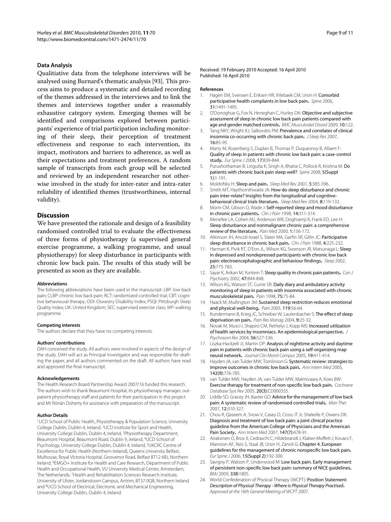#### **Data Analysis**

Qualitiative data from the telephone interviews will be analysed using Burnard's thematic analysis [[93\]](#page-10-20). This process aims to produce a systematic and detailed recording of the themes addressed in the interviews and to link the themes and interviews together under a reasonably exhaustive category system. Emerging themes will be identified and comparisons explored between participants' experience of trial participation including monitoring of their sleep, their perception of treatment effectiveness and response to each intervention, its impact, motivators and barriers to adherence, as well as their expectations and treatment preferences. A random sample of transcripts from each group will be selected and reviewed by an independent researcher not otherwise involved in the study for inter-rater and intra-rater reliability of identified themes (trustworthiness, internal validity).

#### **Discussion**

We have presented the rationale and design of a feasibility randomised controlled trial to evaluate the effectiveness of three forms of physiotherapy (a supervised general exercise programme, a walking programme, and usual physiotherapy) for sleep disturbance in participants with chronic low back pain. The results of this study will be presented as soon as they are available.

#### **Abbreviations**

The following abbreviations have been used in the manuscript: LBP: low back pain; CLBP: chronic low back pain; RCT: randomized controlled trial; CBT: cognitive behavioural therapy; ODI: Oswestry Disability Index; PSQI: Pittsburgh Sleep Quality Index; UK: United Kingdom; SEC: supervised exercise class; WP: walking programme.

#### **Competing interests**

The authors declare that they have no competing interests.

#### **Authors' contributions**

DAH conceived the study. All authors were involved in aspects of the design of the study. DAH will act as Principal Investigator and was responsible for drafting the paper, and all authors commented on the draft. All authors have read and approved the final manuscript.

#### **Acknowledgements**

The Health Research Board Partnership Award 2007/16 funded this research. The authors wish to thank Beaumont Hospital, its physiotherapy manager, outpatient physiotherapy staff and patients for their participation in this project and Mr Rónán Doherty for assistance with preparation of the manuscript.

#### **Author Details**

1UCD School of Public Health, Physiotherapy & Population Science, University College Dublin, Dublin 4, Ireland, 2UCD Institute for Sport and Health, University College Dublin, Dublin 4, Ireland, 3Physiotherapy Department, Beaumont Hospital, Beaumont Road, Dublin 9, Ireland, 4UCD School of Psychology, University College Dublin, Dublin 4, Ireland, 5UKCRC Centre of Excellence for Public Health (Northern Ireland), Queens University Belfast, Mulhouse, Royal Victoria Hospital, Grosvenor Road, Belfast BT12 6BJ, Northern Ireland, 6EMGO+ Institute for Health and Care Research, Department of Public Health and Occupational Health, VU University Medical Center, Amsterdam, The Netherlands, 7Health and Rehabilitation Sciences Research Institute, University of Ulster, Jordanstown Campus, Antrim, BT37 0QB, Northern Ireland and 8UCD School of Electrical, Electronic and Mechanical Engineering, University College Dublin, Dublin 4, Ireland

#### **References**

- <span id="page-8-0"></span>1. Hagen EM, Svensen E, Eriksen HR, Ihlebaek CM, Ursin H: Comorbid participative health complaints in low back pain. Spine 2006, 31:1491-1495.
- <span id="page-8-2"></span>2. O'Donoghue G, Fox N, Heneghan C, Hurley DA: Objective and subjective assessment of sleep in chronic low back pain patients compared with age and gender matched controls**.** BMC Musculoskel Disord 2009, 10:122.
- 3. Tang NKY, Wright KJ, Salkovskis PM: Prevalence and correlates of clinical insomnia co-occurring with chronic back pain**.** J Sleep Res 2007, 16:85-95.
- <span id="page-8-12"></span>4. Marty M, Rozenberg S, Duplan B, Thomas P, Duquesnoy B, Allaert F: Quality of sleep in patients with chronic low back pain: a case-control study**.** Eur Spine J 2008, 17:839-844.
- <span id="page-8-1"></span>5. Purushothaman B, Lingutla K, Singh A, Bhatia C, Pollock R, Krishna M: Do patients with chronic back pain sleep well? Spine 2008, 5(Suppl 1):1-191.
- <span id="page-8-3"></span>6. Moldofsky H: Sleep and pain**.** Sleep Med Rev 2001, 5:385-396.
- <span id="page-8-4"></span>7. Smith MT, Haythornthwaite JA: How do sleep disturbance and chronic pain inter-relate? Insights from the longitudinal and cognitivebehavioral clinical trials literature**.** Sleep Med Rev 2004, 8:119-132.
- <span id="page-8-5"></span>8. Morin CM, Gibson D, Wade J: Self-reported sleep and mood disturbance in chronic pain patients**.** Clin J Pain 1998, 14:311-314.
- <span id="page-8-6"></span>9. Menefee LA, Cohen MJ, Anderson WR, Doghramji K, Frank ED, Lee H: Sleep disturbance and nonmalignant chronic pain: a comprehensive review of the literature**[.](http://www.ncbi.nlm.nih.gov/entrez/query.fcgi?cmd=Retrieve&db=PubMed&dopt=Abstract&list_uids=15101904)** Pain Med 2000, 1:156-172.
- <span id="page-8-7"></span>10. Atkinson JH, Ancoli-Israel S, Slater MA, Garfin SR, Gillin JC: Participative sleep disturbance in chronic back pain**.** Clin J Pain 1988, 4:225-232.
- 11. Harman K, Pivik RT, D'Eon JL, Wilson KG, Swenson JR, Matsunaga L: Sleep in depressed and nondepressed participants with chronic low back pain: electroencephalographic and behaviour findings**.** Sleep 2002, 25:775-783.
- 12. Sayar K, Arikan M, Yontem T: Sleep quality in chronic pain patients**[.](http://www.ncbi.nlm.nih.gov/entrez/query.fcgi?cmd=Retrieve&db=PubMed&dopt=Abstract&list_uids=12500754)** Can J Psychiatry 2002, 47:844-848.
- 13. Wilson KG, Watson ST, Currie SR: Daily diary and ambulatory activity monitoring of sleep in patients with insomnia associated with chronic musculoskeletal pain**[.](http://www.ncbi.nlm.nih.gov/entrez/query.fcgi?cmd=Retrieve&db=PubMed&dopt=Abstract&list_uids=9539676)** Pain 1998, 75:75-84.
- <span id="page-8-8"></span>14. Haack M, Mullington JM: Sustained sleep restriction reduces emotional and physical well-being**.** Pain 2005, 119:56-64.
- <span id="page-8-9"></span>15. Kundermann B, Krieg JC, Schreiber W, Lautenbacher S: The effect of sleep deprivation on pain**.** Pain Res Manag 2004, 9:25-32.
- <span id="page-8-10"></span>16. Novak M, Musci I, Shapiro CM, Rethelyi J, Kopp MS: Increased utilization of health services by insomniacs. An epidemiological perspective**.** J Psychosom Res 2004, 56:527-536.
- <span id="page-8-11"></span>17. Liszka-Hackzell JJ, Martin DP: Analysis of nighttime activity and daytime pain in patients with chronic back pain using a self-organizing map neural network**.** Journal Clin Monit Comput 2005, 19:411-414.
- <span id="page-8-13"></span>18. Hayden JA, van Tulder MW, Tomlinson G: Systematic review: strategies to improve outcomes in chronic low back pain**[.](http://www.ncbi.nlm.nih.gov/entrez/query.fcgi?cmd=Retrieve&db=PubMed&dopt=Abstract&list_uids=15867410)** Ann Intern Med 2005, 142(9):776-785.
- 19. van Tulder MW, Hayden JA, van Tulder MW, Malmivaara A, Koes BW: Exercise therapy for treatment of non-specific low back pain**.** Cochrane Database Syst Rev 2005, 20(3):CD000335.
- 20. Liddle SD, Gracey JH, Baxter GD: Advice for the management of low back pain: A systematic review of randomised controlled trials**[.](http://www.ncbi.nlm.nih.gov/entrez/query.fcgi?cmd=Retrieve&db=PubMed&dopt=Abstract&list_uids=17395522)** Man Ther 2007, 12:310-327.
- 21. Chou R, Qaseem A, Snow V, Casey D, Cross JT Jr, Shekelle P, Owens DK: Diagnosis and treatment of low back pain: a joint clinical practice guideline from the American College of Physicians and the American Pain Society**[.](http://www.ncbi.nlm.nih.gov/entrez/query.fcgi?cmd=Retrieve&db=PubMed&dopt=Abstract&list_uids=17909209)** Ann Intern Med 2007, 147(7):478-91.
- <span id="page-8-15"></span>22. Airaksinen O, Brox JI, Cedraschi C, Hildebrandt J, Klaber-Moffett J, Kovacs F, Mannion AF, Reis S, Staal JB, Ursin H, Zanoli G: Chapter 4. European guidelines for the management of chronic nonspecific low back pain**.** Eur Spine J 2006, 15(Suppl 2):192-300.
- <span id="page-8-14"></span>23. Savigny P, Watson P, Underwood M: Low back pain. Early management of persistent non-specific low back pain: summary of NICE guidelines**.** BMJ 2009, 338:1805.
- 24. World Confederation of Physical Therapy (WCPT): Position Statement: Description of Physical Therapy - Where is Physical Therapy Practised**.** Approved at the 16th General Meeting of WCPT 2007.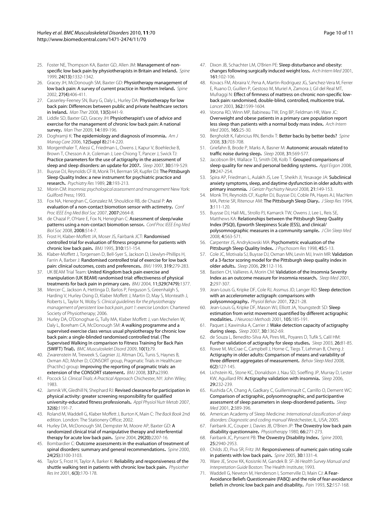- <span id="page-9-35"></span>25. Foster NE, Thompson KA, Baxter GD, Allen JM: Management of nonspecific low back pain by physiotherapists in Britain and Ireland. Spine 1999, 24(13):1332-1342.
- 26. Gracey JH, McDonough SM, Baxter GD: Physiotherapy management of low back pain: A survey of current practice in Northern Ireland. Spine 2002, 27(4):406-411.
- 27. Casserley-Feeney SN, Bury G, Daly L, Hurley DA: Physiotherapy for low back pain: Differences between public and private healthcare sectors in Ireland**.** Man Ther 2008, 13(5):441-9.
- <span id="page-9-0"></span>28. Liddle SD, Baxter GD, Gracey JH: Physiotherapist's use of advice and exercise for the management of chronic low back pain: A national survey**.** Man Ther 2009, 14:189-196.
- <span id="page-9-1"></span>29. Doghramji K: The epidemiology and diagnosis of insomnia**.** Am J Manag Care 2006, 12(Suppl 8):214-220.
- <span id="page-9-2"></span>30. Morgenthaler T, Alessi C, Friedman L, Owens J, Kapur V, Boehlecke B, Brown T, Chesson A Jr, Coleman J, Lee-Chiong T, Pancer J, Swick TJ: Practice parameters for the use of actigraphy in the assessment of sleep and sleep disorders: an update for 2007**[.](http://www.ncbi.nlm.nih.gov/entrez/query.fcgi?cmd=Retrieve&db=PubMed&dopt=Abstract&list_uids=17520797)** Sleep 2007, 30:519-529.
- <span id="page-9-3"></span>31. Buysse DJ, Reynolds CF III, Monk TH, Berman SR, Kupfer DJ: The Pittsburgh Sleep Quality Index: a new instrument for psychiatric practice and research**.** Psychiatry Res 1989, 28:193-213.
- <span id="page-9-4"></span>32. Morin CM: Insomnia: psychological assessment and management New York: Guilford Press; 1993.
- <span id="page-9-5"></span>33. Fox NA, Heneghan C, Gonzalez M, Shouldice RB, de Chazal P: An evaluation of a non-contact biomotion sensor with actimetry**.** Conf Proc IEEE Eng Med Biol Soc 2007, 2007:2664-8.
- <span id="page-9-6"></span>34. de Chazal P, O'Hare E, Fox N, Heneghan C: Assessment of sleep/wake patterns using a non-contact biomotion sensor**.** Conf Proc IEEE Eng Med Biol Soc 2008, 2008:514-7.
- <span id="page-9-7"></span>35. Frost H, Klaber-Moffett JA, Moser JS, Fairbank JCT: Randomised controlled trial for evaluation of fitness programme for patients with chronic low back pain**.** BMJ 1995, 310:151-154.
- <span id="page-9-8"></span>36. Klaber-Moffett J, Torgensen D, Bell-Syer S, Jackson D, Llewlyn-Phillips H, Farrin A, Barber J: Randomised controlled trial of exercise for low back pain: clinical outcomes, costs and preferences**[.](http://www.ncbi.nlm.nih.gov/entrez/query.fcgi?cmd=Retrieve&db=PubMed&dopt=Abstract&list_uids=10426734)** BMJ 1999, 319:279-283.
- <span id="page-9-9"></span>37. UK BEAM Trial Team: United Kingdom back pain exercise and manipulation (UK BEAM) randomised trial: effectiveness of physical treatments for back pain in primary care**.** BMJ 2004, 11;329(7479):1377.
- <span id="page-9-10"></span>38. Mercer C, Jackson A, Hettinga D, Barlos P, Ferguson S, Greenhalgh S, Harding V, Hurley Osing D, Klaber Moffett J, Martin D, May S, Monteath J, Roberts L, Taylor N, Woby S: Clinical guidelines for the physiotherapy management of persistent low back pain, part 1: exercise London: Chartered Society of Physiotherapy; 2006.
- <span id="page-9-11"></span>39. Hurley DA, O'Donoghue G, Tully MA, Klaber Moffett J, van Mechelen W, Daly L, Boreham CA, McDonough SM: A walking programme and a supervised exercise class versus usual physiotherapy for chronic low back pain: a single-blinded randomised controlled trial. (The Supervised Walking In comparison to Fitness Training for Back Pain (SWIFT) Trial)**.** BMC Musculoskelet Disord 2009, 10(1):79.
- <span id="page-9-12"></span>40. Zwarenstein M, Treweek S, Gagnier JJ, Altman DG, Tunis S, Haynes B, Oxman AD, Moher D, CONSORT group, Pragmatic Trials in Healthcare (Practihc) group: Improving the reporting of pragmatic trials: an extension of the CONSORT statement**.** BMJ 2008, 337:a2390.
- <span id="page-9-13"></span>41. Pocock SJ: Clinical Trials: A Practical Approach Chichester, NY: John Wiley; 1983.
- <span id="page-9-14"></span>42. Jamnik VK, Gledhill N, Shephard RJ: Revised clearance for participation in physical activity: greater screening responsibility for qualified university-educated fitness professionals**.** Appl Physiol Nutr Metab 2007, 32(6):1191-7.
- <span id="page-9-15"></span>43. Roland M, Waddell G, Klaber Moffett J, Burton K, Main C: The Back Book 2nd edition. London: The Stationery Office; 2002.
- <span id="page-9-16"></span>44. Hurley DA, McDonough SM, Dempster M, Moore AP, Baxter GD: A randomized clinical trial of manipulative therapy and interferential therapy for acute low back pain**.** Spine 2004, 29(20):2207-16.
- <span id="page-9-17"></span>45. Bombardier C: Outcome assessments in the evaluation of treatment of spinal disorders: summary and general recommendations. Spine 2000, 24(25):3100-3103.
- <span id="page-9-18"></span>46. Taylor S, Frost H, Taylor A, Barker K: Reliability and responsiveness of the shuttle walking test in patients with chronic low back pain**.** Physiother Res Int 2001, 6(3):170-178.
- <span id="page-9-19"></span>47. Dixon JB, Schachter LM, O'Brien PE: Sleep disturbance and obesity: changes following surgically induced weight loss**[.](http://www.ncbi.nlm.nih.gov/entrez/query.fcgi?cmd=Retrieve&db=PubMed&dopt=Abstract&list_uids=11146705)** Arch Intern Med 2001, 161:102-106.
- 48. Kovacs FM, Abraira V, Pena A, Martin-Rodriguez JG, Sanchez-Vera M, Ferrer E, Ruano D, Guillen P, Gestoso M, Muriel A, Zamora J, Gil del Real MT, Mufraggi N: Effect of firmness of mattress on chronic non-specific lowback pain: randomised, double-blind, controlled, multicentre trial**[.](http://www.ncbi.nlm.nih.gov/entrez/query.fcgi?cmd=Retrieve&db=PubMed&dopt=Abstract&list_uids=14630439)** Lancet 2003, 362:1599-1604.
- 49. Vorona RD, Winn MP, Babineau TW, Eng BP, Feldman HR, Ware JC: Overweight and obese patients in a primary care population report less sleep than patients with a normal body mass index**.** Arch Intern Med 2005, 165:25-30.
- BergholdtK, Fabricius RN, Bendix T: Better backs by better beds? Spine 2008, 33:703-708.
- 51. Griefahn B, Brode P, Marks A, Basner M: Autonomic arousals related to traffic noise during sleep**.** Sleep 2008, 31:569-577.
- 52. Jacobson BH, Wallace TJ, Smith DB, Kolb T: Grouped comparisons of sleep quality for new and personal bedding systems**[.](http://www.ncbi.nlm.nih.gov/entrez/query.fcgi?cmd=Retrieve&db=PubMed&dopt=Abstract&list_uids=17597575)** Appl Ergon 2008, 39:247-254.
- <span id="page-9-20"></span>53. Spira AP, Friedman L, Aulakh JS, Lee T, Sheikh JI, Yesavage JA: Subclinical anxiety symptoms, sleep, and daytime dysfunction in older adults with primary insomnia**.** J Geriatr Psychiatry Neurol 2008, 21:149-153.
- <span id="page-9-21"></span>54. Monk TH, Reynolds CF, Kupfer DJ, Buysse DJ, Coble PA, Hayes AJ, MacHen MA, Petrie SR, Ritenour AM: The Pittsburgh Sleep Diary**.** J Sleep Res 1994, 3:111-120.
- <span id="page-9-22"></span>55. Buysse DJ, Hall ML, Strollo PJ, Kamarck TW, Owens J, Lee L, Reis SE, Matthews KA: Relationships between the Pittsburgh Sleep Quality Index (PSQI), Epworth Sleepiness Scale (ESS), and clinical/ polysomnographic measures in a community sample**.** J Clin Sleep Med 2008, 4:563-571.
- 56. Carpenter JS, Andrykowski MA: Psychometric evaluation of the Pittsburgh Sleep Quality Index**[.](http://www.ncbi.nlm.nih.gov/entrez/query.fcgi?cmd=Retrieve&db=PubMed&dopt=Abstract&list_uids=9720850)** J Psychosom Res 1998, 45:5-13.
- <span id="page-9-23"></span>57. Cole JC, Motivala SJ, Buysse DJ, Oxman MN, Levin MJ, Irwin MR: Validation of a 3-factor scoring model for the Pittsburgh sleep quality index in older adults**.** Sleep 2006, 29:112-116.
- <span id="page-9-24"></span>58. Bastien CH, Vallieres A, Morin CM: Validation of the Insomnia Severity Index as an outcome measure for insomnia research**[.](http://www.ncbi.nlm.nih.gov/entrez/query.fcgi?cmd=Retrieve&db=PubMed&dopt=Abstract&list_uids=11438246)** Sleep Med 2001, 2:297-307.
- <span id="page-9-25"></span>59. Jean-Louis G, Kripke DF, Cole RJ, Assmus JD, Langer RD: Sleep detection with an accelerometer actigraph: comparisons with polysomnography**.** Physiol Behav 2001, 72:21-28.
- 60. Jean-Louis G, Kripke DF, Mason WJ, Elliott JA, Youngstedt SD: Sleep estimation from wrist movement quantified by different actigraphic modalities**[.](http://www.ncbi.nlm.nih.gov/entrez/query.fcgi?cmd=Retrieve&db=PubMed&dopt=Abstract&list_uids=11275275)** J Neurosci Methods 2001, 105:185-191.
- 61. Paquet J, Kawinska A, Carrier J: Wake detection capacity of actigraphy during sleep**.** Sleep 2007, 30:1362-69.
- <span id="page-9-26"></span>62. de Souza L, Benedito-Silva AA, Pires ML, Poyares D, Tufik S, Calil HM: Further validation of actigraphy for sleep studies**.** Sleep 2003, 26:81-85.
- <span id="page-9-27"></span>63. Rowe M, McCrae C, Campbell J, Horne C, Tiegs T, Lehman B, Cheng J: Actigraphy in older adults: Comparison of means and variability of three different aggregates of measurement**.** Behav Sleep Med 2008, 6(2):127-145.
- 64. Lichstein KL, Stone KC, Donaldson J, Nau SD, Soeffing JP, Murray D, Lester KW, Aguillard RN: Actigraphy validation with insomnia**.** Sleep 2006, 29:232-239.
- <span id="page-9-28"></span>65. Kushida CA, Chang A, Gadkary C, Guilleminault C, Carrillo O, Dement WC: Comparison of actigraphic, polysomnographic, and participantive assessment of sleep parameters in sleep-disordered patients**.** Sleep Med 2001, 2:389-396.
- <span id="page-9-29"></span>66. American Academy of Sleep Medicine: International classification of sleep disorders: Diganostic and coding manual Westchester, IL, USA; 2005.
- <span id="page-9-30"></span>67. Fairbank JC, Couper J, Davies JB, O'Brien JP: The Oswestry low back pain disability questionnaire**.** Physiotherapy 1980, 66:271-273.
- <span id="page-9-31"></span>68. Fairbank JC, Pynsent PB: The Oswestry Disability Index**.** Spine 2000, 25:2940-2953.
- <span id="page-9-32"></span>69. Childs JD, Piva SR, Fritz JM: Responsiveness of numeric pain rating scale in patients with low back pain**.** Spine 2005, 30:1331-4.
- <span id="page-9-33"></span>70. Ware JE, Snow KK, Kosisnki M, Gandek B: SF-36 Health Survey Manual and Interpretation Guide Boston: The Health Institute; 1993.
- <span id="page-9-34"></span>71. Waddell G, Newton M, Henderson I, Somerville D, Main CJ: A Fear-Avoidance Beliefs Questionnaire (FABQ) and the role of fear-avoidance beliefs in chronic low back pain and disability**[.](http://www.ncbi.nlm.nih.gov/entrez/query.fcgi?cmd=Retrieve&db=PubMed&dopt=Abstract&list_uids=8455963)** Pain 1993, 52:157-168.